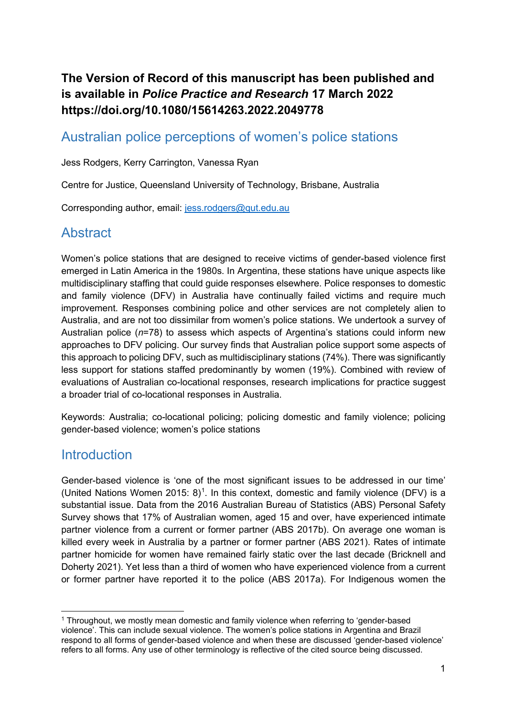# **The Version of Record of this manuscript has been published and is available in** *Police Practice and Research* **17 March 2022 https://doi.org/10.1080/15614263.2022.2049778**

### Australian police perceptions of women's police stations

Jess Rodgers, Kerry Carrington, Vanessa Ryan

Centre for Justice, Queensland University of Technology, Brisbane, Australia

Corresponding author, email: [jess.rodgers@qut.edu.au](mailto:jess.rodgers@qut.edu.au)

### **Abstract**

Women's police stations that are designed to receive victims of gender-based violence first emerged in Latin America in the 1980s. In Argentina, these stations have unique aspects like multidisciplinary staffing that could guide responses elsewhere. Police responses to domestic and family violence (DFV) in Australia have continually failed victims and require much improvement. Responses combining police and other services are not completely alien to Australia, and are not too dissimilar from women's police stations. We undertook a survey of Australian police (*n*=78) to assess which aspects of Argentina's stations could inform new approaches to DFV policing. Our survey finds that Australian police support some aspects of this approach to policing DFV, such as multidisciplinary stations (74%). There was significantly less support for stations staffed predominantly by women (19%). Combined with review of evaluations of Australian co-locational responses, research implications for practice suggest a broader trial of co-locational responses in Australia.

Keywords: Australia; co-locational policing; policing domestic and family violence; policing gender-based violence; women's police stations

### **Introduction**

Gender-based violence is 'one of the most significant issues to be addressed in our time' (United Nations Women 20[1](#page-0-0)5: 8)<sup>1</sup>. In this context, domestic and family violence (DFV) is a substantial issue. Data from the 2016 Australian Bureau of Statistics (ABS) Personal Safety Survey shows that 17% of Australian women, aged 15 and over, have experienced intimate partner violence from a current or former partner (ABS 2017b). On average one woman is killed every week in Australia by a partner or former partner (ABS 2021). Rates of intimate partner homicide for women have remained fairly static over the last decade (Bricknell and Doherty 2021). Yet less than a third of women who have experienced violence from a current or former partner have reported it to the police (ABS 2017a). For Indigenous women the

<span id="page-0-0"></span><sup>1</sup> Throughout, we mostly mean domestic and family violence when referring to 'gender-based violence'. This can include sexual violence. The women's police stations in Argentina and Brazil respond to all forms of gender-based violence and when these are discussed 'gender-based violence' refers to all forms. Any use of other terminology is reflective of the cited source being discussed.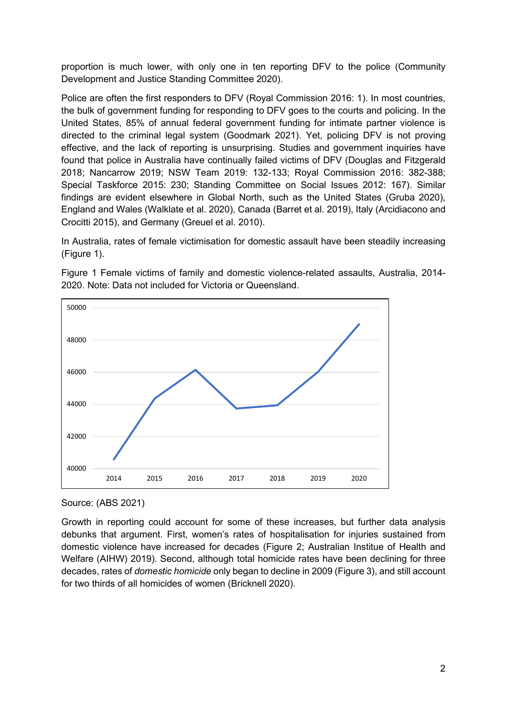proportion is much lower, with only one in ten reporting DFV to the police (Community Development and Justice Standing Committee 2020).

Police are often the first responders to DFV (Royal Commission 2016: 1). In most countries, the bulk of government funding for responding to DFV goes to the courts and policing. In the United States, 85% of annual federal government funding for intimate partner violence is directed to the criminal legal system (Goodmark 2021). Yet, policing DFV is not proving effective, and the lack of reporting is unsurprising. Studies and government inquiries have found that police in Australia have continually failed victims of DFV (Douglas and Fitzgerald 2018; Nancarrow 2019; NSW Team 2019: 132-133; Royal Commission 2016: 382-388; Special Taskforce 2015: 230; Standing Committee on Social Issues 2012: 167). Similar findings are evident elsewhere in Global North, such as the United States (Gruba 2020), England and Wales (Walklate et al. 2020), Canada (Barret et al. 2019), Italy (Arcidiacono and Crocitti 2015), and Germany (Greuel et al. 2010).

In Australia, rates of female victimisation for domestic assault have been steadily increasing (Figure 1).

Figure 1 Female victims of family and domestic violence-related assaults, Australia, 2014- 2020. Note: Data not included for Victoria or Queensland.



Source: (ABS 2021)

Growth in reporting could account for some of these increases, but further data analysis debunks that argument. First, women's rates of hospitalisation for injuries sustained from domestic violence have increased for decades (Figure 2; Australian Institue of Health and Welfare (AIHW) 2019). Second, although total homicide rates have been declining for three decades, rates of *domestic homicide* only began to decline in 2009 (Figure 3), and still account for two thirds of all homicides of women (Bricknell 2020).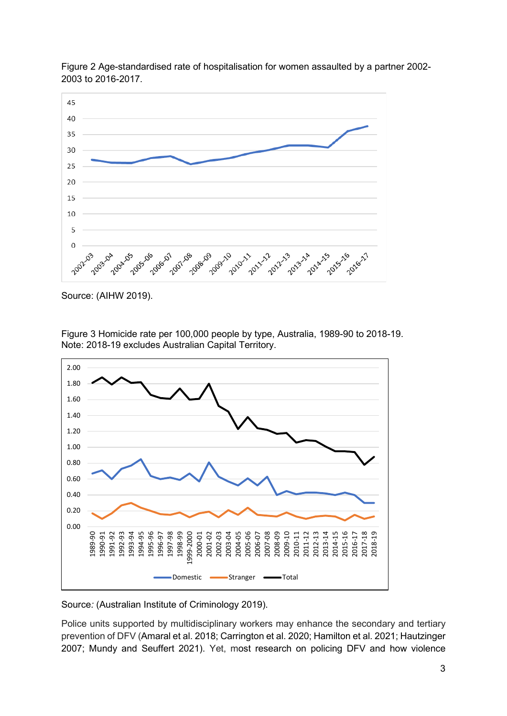

Figure 2 Age-standardised rate of hospitalisation for women assaulted by a partner 2002- 2003 to 2016-2017.

Source: (AIHW 2019).

Figure 3 Homicide rate per 100,000 people by type, Australia, 1989-90 to 2018-19. Note: 2018-19 excludes Australian Capital Territory.



Source*:* (Australian Institute of Criminology 2019).

Police units supported by multidisciplinary workers may enhance the secondary and tertiary prevention of DFV (Amaral et al. 2018; Carrington et al. 2020; Hamilton et al. 2021; Hautzinger 2007; Mundy and Seuffert 2021). Yet, most research on policing DFV and how violence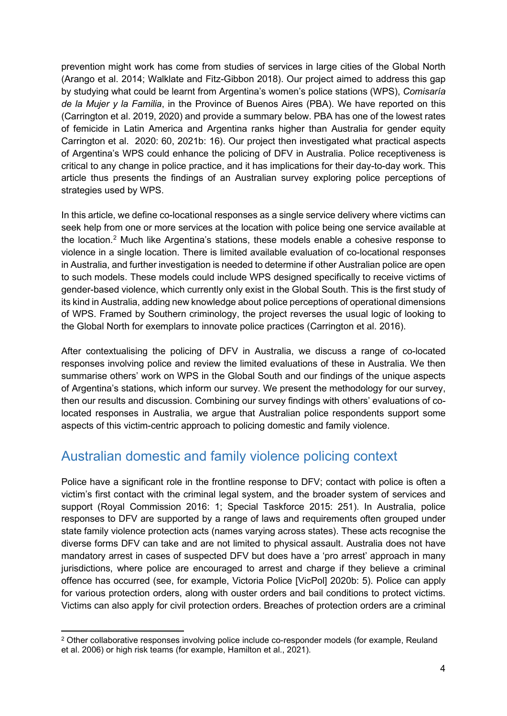prevention might work has come from studies of services in large cities of the Global North (Arango et al. 2014; Walklate and Fitz-Gibbon 2018). Our project aimed to address this gap by studying what could be learnt from Argentina's women's police stations (WPS), *Comisaría de la Mujer y la Familia*, in the Province of Buenos Aires (PBA). We have reported on this (Carrington et al. 2019, 2020) and provide a summary below. PBA has one of the lowest rates of femicide in Latin America and Argentina ranks higher than Australia for gender equity Carrington et al. 2020: 60, 2021b: 16). Our project then investigated what practical aspects of Argentina's WPS could enhance the policing of DFV in Australia. Police receptiveness is critical to any change in police practice, and it has implications for their day-to-day work. This article thus presents the findings of an Australian survey exploring police perceptions of strategies used by WPS.

In this article, we define co-locational responses as a single service delivery where victims can seek help from one or more services at the location with police being one service available at the location. [2](#page-3-0) Much like Argentina's stations, these models enable a cohesive response to violence in a single location. There is limited available evaluation of co-locational responses in Australia, and further investigation is needed to determine if other Australian police are open to such models. These models could include WPS designed specifically to receive victims of gender-based violence, which currently only exist in the Global South. This is the first study of its kind in Australia, adding new knowledge about police perceptions of operational dimensions of WPS. Framed by Southern criminology, the project reverses the usual logic of looking to the Global North for exemplars to innovate police practices (Carrington et al. 2016).

After contextualising the policing of DFV in Australia, we discuss a range of co-located responses involving police and review the limited evaluations of these in Australia. We then summarise others' work on WPS in the Global South and our findings of the unique aspects of Argentina's stations, which inform our survey. We present the methodology for our survey, then our results and discussion. Combining our survey findings with others' evaluations of colocated responses in Australia, we argue that Australian police respondents support some aspects of this victim-centric approach to policing domestic and family violence.

### Australian domestic and family violence policing context

Police have a significant role in the frontline response to DFV; contact with police is often a victim's first contact with the criminal legal system, and the broader system of services and support (Royal Commission 2016: 1; Special Taskforce 2015: 251). In Australia, police responses to DFV are supported by a range of laws and requirements often grouped under state family violence protection acts (names varying across states). These acts recognise the diverse forms DFV can take and are not limited to physical assault. Australia does not have mandatory arrest in cases of suspected DFV but does have a 'pro arrest' approach in many jurisdictions, where police are encouraged to arrest and charge if they believe a criminal offence has occurred (see, for example, Victoria Police [VicPol] 2020b: 5). Police can apply for various protection orders, along with ouster orders and bail conditions to protect victims. Victims can also apply for civil protection orders. Breaches of protection orders are a criminal

<span id="page-3-0"></span><sup>2</sup> Other collaborative responses involving police include co-responder models (for example, Reuland et al. 2006) or high risk teams (for example, Hamilton et al., 2021).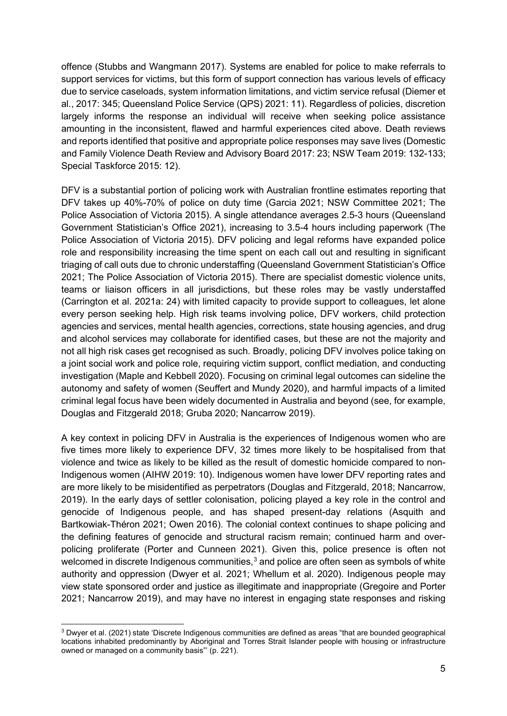offence (Stubbs and Wangmann 2017). Systems are enabled for police to make referrals to support services for victims, but this form of support connection has various levels of efficacy due to service caseloads, system information limitations, and victim service refusal (Diemer et al., 2017: 345; Queensland Police Service (QPS) 2021: 11). Regardless of policies, discretion largely informs the response an individual will receive when seeking police assistance amounting in the inconsistent, flawed and harmful experiences cited above. Death reviews and reports identified that positive and appropriate police responses may save lives (Domestic and Family Violence Death Review and Advisory Board 2017: 23; NSW Team 2019: 132-133; Special Taskforce 2015: 12).

DFV is a substantial portion of policing work with Australian frontline estimates reporting that DFV takes up 40%-70% of police on duty time (Garcia 2021; NSW Committee 2021; The Police Association of Victoria 2015). A single attendance averages 2.5-3 hours (Queensland Government Statistician's Office 2021), increasing to 3.5-4 hours including paperwork (The Police Association of Victoria 2015). DFV policing and legal reforms have expanded police role and responsibility increasing the time spent on each call out and resulting in significant triaging of call outs due to chronic understaffing (Queensland Government Statistician's Office 2021; The Police Association of Victoria 2015). There are specialist domestic violence units, teams or liaison officers in all jurisdictions, but these roles may be vastly understaffed (Carrington et al. 2021a: 24) with limited capacity to provide support to colleagues, let alone every person seeking help. High risk teams involving police, DFV workers, child protection agencies and services, mental health agencies, corrections, state housing agencies, and drug and alcohol services may collaborate for identified cases, but these are not the majority and not all high risk cases get recognised as such. Broadly, policing DFV involves police taking on a joint social work and police role, requiring victim support, conflict mediation, and conducting investigation (Maple and Kebbell 2020). Focusing on criminal legal outcomes can sideline the autonomy and safety of women (Seuffert and Mundy 2020), and harmful impacts of a limited criminal legal focus have been widely documented in Australia and beyond (see, for example, Douglas and Fitzgerald 2018; Gruba 2020; Nancarrow 2019).

A key context in policing DFV in Australia is the experiences of Indigenous women who are five times more likely to experience DFV, 32 times more likely to be hospitalised from that violence and twice as likely to be killed as the result of domestic homicide compared to non-Indigenous women (AIHW 2019: 10). Indigenous women have lower DFV reporting rates and are more likely to be misidentified as perpetrators (Douglas and Fitzgerald, 2018; Nancarrow, 2019). In the early days of settler colonisation, policing played a key role in the control and genocide of Indigenous people, and has shaped present-day relations (Asquith and Bartkowiak-Théron 2021; Owen 2016). The colonial context continues to shape policing and the defining features of genocide and structural racism remain; continued harm and overpolicing proliferate (Porter and Cunneen 2021). Given this, police presence is often not welcomed in discrete Indigenous communities, $3$  and police are often seen as symbols of white authority and oppression (Dwyer et al. 2021; Whellum et al. 2020). Indigenous people may view state sponsored order and justice as illegitimate and inappropriate (Gregoire and Porter 2021; Nancarrow 2019), and may have no interest in engaging state responses and risking

<span id="page-4-0"></span><sup>3</sup> Dwyer et al. (2021) state 'Discrete Indigenous communities are defined as areas "that are bounded geographical locations inhabited predominantly by Aboriginal and Torres Strait Islander people with housing or infrastructure owned or managed on a community basis"' (p. 221).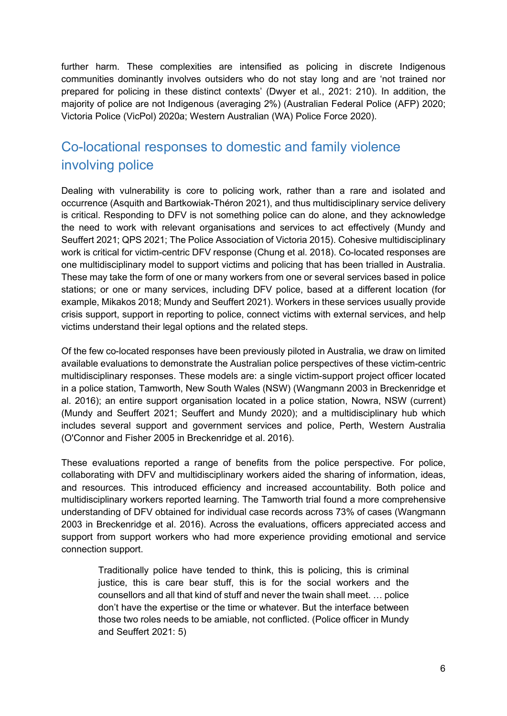further harm. These complexities are intensified as policing in discrete Indigenous communities dominantly involves outsiders who do not stay long and are 'not trained nor prepared for policing in these distinct contexts' (Dwyer et al., 2021: 210). In addition, the majority of police are not Indigenous (averaging 2%) (Australian Federal Police (AFP) 2020; Victoria Police (VicPol) 2020a; Western Australian (WA) Police Force 2020).

# Co-locational responses to domestic and family violence involving police

Dealing with vulnerability is core to policing work, rather than a rare and isolated and occurrence (Asquith and Bartkowiak-Théron 2021), and thus multidisciplinary service delivery is critical. Responding to DFV is not something police can do alone, and they acknowledge the need to work with relevant organisations and services to act effectively (Mundy and Seuffert 2021; QPS 2021; The Police Association of Victoria 2015). Cohesive multidisciplinary work is critical for victim-centric DFV response (Chung et al. 2018). Co-located responses are one multidisciplinary model to support victims and policing that has been trialled in Australia. These may take the form of one or many workers from one or several services based in police stations; or one or many services, including DFV police, based at a different location (for example, Mikakos 2018; Mundy and Seuffert 2021). Workers in these services usually provide crisis support, support in reporting to police, connect victims with external services, and help victims understand their legal options and the related steps.

Of the few co-located responses have been previously piloted in Australia, we draw on limited available evaluations to demonstrate the Australian police perspectives of these victim-centric multidisciplinary responses. These models are: a single victim-support project officer located in a police station, Tamworth, New South Wales (NSW) (Wangmann 2003 in Breckenridge et al. 2016); an entire support organisation located in a police station, Nowra, NSW (current) (Mundy and Seuffert 2021; Seuffert and Mundy 2020); and a multidisciplinary hub which includes several support and government services and police, Perth, Western Australia (O'Connor and Fisher 2005 in Breckenridge et al. 2016).

These evaluations reported a range of benefits from the police perspective. For police, collaborating with DFV and multidisciplinary workers aided the sharing of information, ideas, and resources. This introduced efficiency and increased accountability. Both police and multidisciplinary workers reported learning. The Tamworth trial found a more comprehensive understanding of DFV obtained for individual case records across 73% of cases (Wangmann 2003 in Breckenridge et al. 2016). Across the evaluations, officers appreciated access and support from support workers who had more experience providing emotional and service connection support.

Traditionally police have tended to think, this is policing, this is criminal justice, this is care bear stuff, this is for the social workers and the counsellors and all that kind of stuff and never the twain shall meet. … police don't have the expertise or the time or whatever. But the interface between those two roles needs to be amiable, not conflicted. (Police officer in Mundy and Seuffert 2021: 5)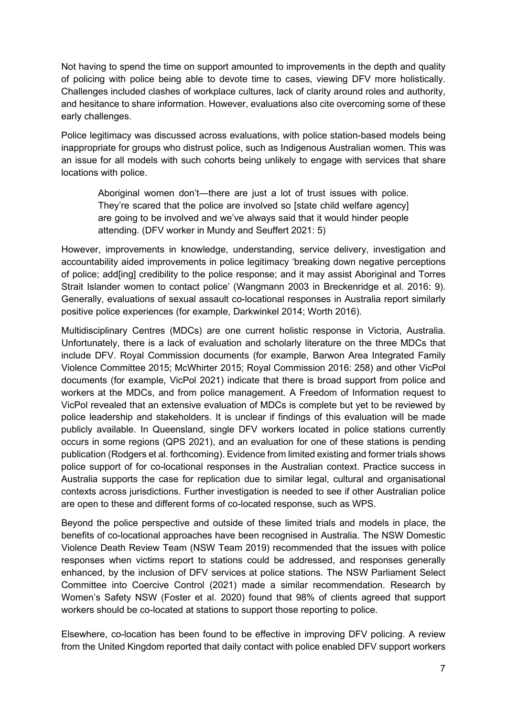Not having to spend the time on support amounted to improvements in the depth and quality of policing with police being able to devote time to cases, viewing DFV more holistically. Challenges included clashes of workplace cultures, lack of clarity around roles and authority, and hesitance to share information. However, evaluations also cite overcoming some of these early challenges.

Police legitimacy was discussed across evaluations, with police station-based models being inappropriate for groups who distrust police, such as Indigenous Australian women. This was an issue for all models with such cohorts being unlikely to engage with services that share locations with police.

Aboriginal women don't—there are just a lot of trust issues with police. They're scared that the police are involved so [state child welfare agency] are going to be involved and we've always said that it would hinder people attending. (DFV worker in Mundy and Seuffert 2021: 5)

However, improvements in knowledge, understanding, service delivery, investigation and accountability aided improvements in police legitimacy 'breaking down negative perceptions of police; add[ing] credibility to the police response; and it may assist Aboriginal and Torres Strait Islander women to contact police' (Wangmann 2003 in Breckenridge et al. 2016: 9). Generally, evaluations of sexual assault co-locational responses in Australia report similarly positive police experiences (for example, Darkwinkel 2014; Worth 2016).

Multidisciplinary Centres (MDCs) are one current holistic response in Victoria, Australia. Unfortunately, there is a lack of evaluation and scholarly literature on the three MDCs that include DFV. Royal Commission documents (for example, Barwon Area Integrated Family Violence Committee 2015; McWhirter 2015; Royal Commission 2016: 258) and other VicPol documents (for example, VicPol 2021) indicate that there is broad support from police and workers at the MDCs, and from police management. A Freedom of Information request to VicPol revealed that an extensive evaluation of MDCs is complete but yet to be reviewed by police leadership and stakeholders. It is unclear if findings of this evaluation will be made publicly available. In Queensland, single DFV workers located in police stations currently occurs in some regions (QPS 2021), and an evaluation for one of these stations is pending publication (Rodgers et al. forthcoming). Evidence from limited existing and former trials shows police support of for co-locational responses in the Australian context. Practice success in Australia supports the case for replication due to similar legal, cultural and organisational contexts across jurisdictions. Further investigation is needed to see if other Australian police are open to these and different forms of co-located response, such as WPS.

Beyond the police perspective and outside of these limited trials and models in place, the benefits of co-locational approaches have been recognised in Australia. The NSW Domestic Violence Death Review Team (NSW Team 2019) recommended that the issues with police responses when victims report to stations could be addressed, and responses generally enhanced, by the inclusion of DFV services at police stations. The NSW Parliament Select Committee into Coercive Control (2021) made a similar recommendation. Research by Women's Safety NSW (Foster et al. 2020) found that 98% of clients agreed that support workers should be co-located at stations to support those reporting to police.

Elsewhere, co-location has been found to be effective in improving DFV policing. A review from the United Kingdom reported that daily contact with police enabled DFV support workers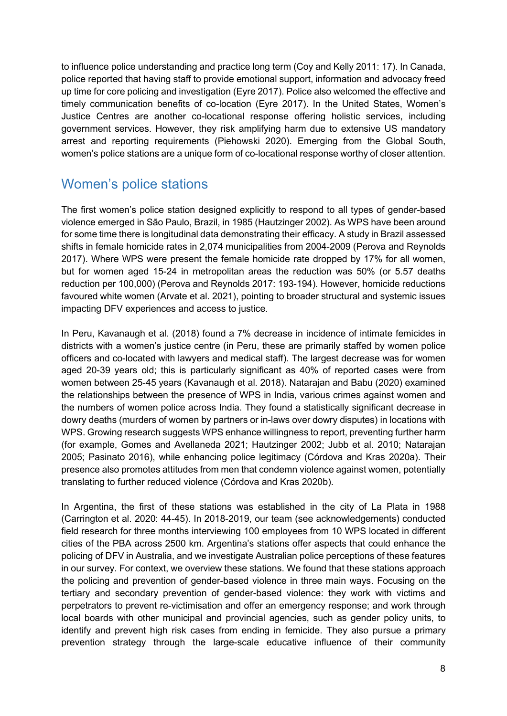to influence police understanding and practice long term (Coy and Kelly 2011: 17). In Canada, police reported that having staff to provide emotional support, information and advocacy freed up time for core policing and investigation (Eyre 2017). Police also welcomed the effective and timely communication benefits of co-location (Eyre 2017). In the United States, Women's Justice Centres are another co-locational response offering holistic services, including government services. However, they risk amplifying harm due to extensive US mandatory arrest and reporting requirements (Piehowski 2020). Emerging from the Global South, women's police stations are a unique form of co-locational response worthy of closer attention.

# Women's police stations

The first women's police station designed explicitly to respond to all types of gender-based violence emerged in São Paulo, Brazil, in 1985 (Hautzinger 2002). As WPS have been around for some time there is longitudinal data demonstrating their efficacy. A study in Brazil assessed shifts in female homicide rates in 2,074 municipalities from 2004-2009 (Perova and Reynolds 2017). Where WPS were present the female homicide rate dropped by 17% for all women, but for women aged 15-24 in metropolitan areas the reduction was 50% (or 5.57 deaths reduction per 100,000) (Perova and Reynolds 2017: 193-194). However, homicide reductions favoured white women (Arvate et al. 2021), pointing to broader structural and systemic issues impacting DFV experiences and access to justice.

In Peru, Kavanaugh et al. (2018) found a 7% decrease in incidence of intimate femicides in districts with a women's justice centre (in Peru, these are primarily staffed by women police officers and co-located with lawyers and medical staff). The largest decrease was for women aged 20-39 years old; this is particularly significant as 40% of reported cases were from women between 25-45 years (Kavanaugh et al. 2018). Natarajan and Babu (2020) examined the relationships between the presence of WPS in India, various crimes against women and the numbers of women police across India. They found a statistically significant decrease in dowry deaths (murders of women by partners or in-laws over dowry disputes) in locations with WPS. Growing research suggests WPS enhance willingness to report, preventing further harm (for example, Gomes and Avellaneda 2021; Hautzinger 2002; Jubb et al. 2010; Natarajan 2005; Pasinato 2016), while enhancing police legitimacy (Córdova and Kras 2020a). Their presence also promotes attitudes from men that condemn violence against women, potentially translating to further reduced violence (Córdova and Kras 2020b).

In Argentina, the first of these stations was established in the city of La Plata in 1988 (Carrington et al. 2020: 44-45). In 2018-2019, our team (see acknowledgements) conducted field research for three months interviewing 100 employees from 10 WPS located in different cities of the PBA across 2500 km. Argentina's stations offer aspects that could enhance the policing of DFV in Australia, and we investigate Australian police perceptions of these features in our survey. For context, we overview these stations. We found that these stations approach the policing and prevention of gender-based violence in three main ways. Focusing on the tertiary and secondary prevention of gender-based violence: they work with victims and perpetrators to prevent re-victimisation and offer an emergency response; and work through local boards with other municipal and provincial agencies, such as gender policy units, to identify and prevent high risk cases from ending in femicide. They also pursue a primary prevention strategy through the large-scale educative influence of their community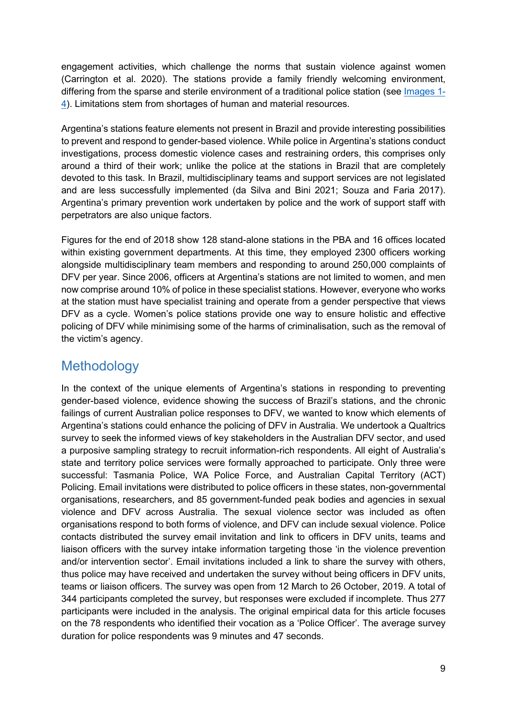engagement activities, which challenge the norms that sustain violence against women (Carrington et al. 2020). The stations provide a family friendly welcoming environment, differing from the sparse and sterile environment of a traditional police station (see [Images 1-](#page-19-0) [4\)](#page-19-0). Limitations stem from shortages of human and material resources.

Argentina's stations feature elements not present in Brazil and provide interesting possibilities to prevent and respond to gender-based violence. While police in Argentina's stations conduct investigations, process domestic violence cases and restraining orders, this comprises only around a third of their work; unlike the police at the stations in Brazil that are completely devoted to this task. In Brazil, multidisciplinary teams and support services are not legislated and are less successfully implemented (da Silva and Bini 2021; Souza and Faria 2017). Argentina's primary prevention work undertaken by police and the work of support staff with perpetrators are also unique factors.

Figures for the end of 2018 show 128 stand-alone stations in the PBA and 16 offices located within existing government departments. At this time, they employed 2300 officers working alongside multidisciplinary team members and responding to around 250,000 complaints of DFV per year. Since 2006, officers at Argentina's stations are not limited to women, and men now comprise around 10% of police in these specialist stations. However, everyone who works at the station must have specialist training and operate from a gender perspective that views DFV as a cycle. Women's police stations provide one way to ensure holistic and effective policing of DFV while minimising some of the harms of criminalisation, such as the removal of the victim's agency.

### **Methodology**

In the context of the unique elements of Argentina's stations in responding to preventing gender-based violence, evidence showing the success of Brazil's stations, and the chronic failings of current Australian police responses to DFV, we wanted to know which elements of Argentina's stations could enhance the policing of DFV in Australia. We undertook a Qualtrics survey to seek the informed views of key stakeholders in the Australian DFV sector, and used a purposive sampling strategy to recruit information-rich respondents. All eight of Australia's state and territory police services were formally approached to participate. Only three were successful: Tasmania Police, WA Police Force, and Australian Capital Territory (ACT) Policing. Email invitations were distributed to police officers in these states, non-governmental organisations, researchers, and 85 government-funded peak bodies and agencies in sexual violence and DFV across Australia. The sexual violence sector was included as often organisations respond to both forms of violence, and DFV can include sexual violence. Police contacts distributed the survey email invitation and link to officers in DFV units, teams and liaison officers with the survey intake information targeting those 'in the violence prevention and/or intervention sector'. Email invitations included a link to share the survey with others, thus police may have received and undertaken the survey without being officers in DFV units, teams or liaison officers. The survey was open from 12 March to 26 October, 2019. A total of 344 participants completed the survey, but responses were excluded if incomplete. Thus 277 participants were included in the analysis. The original empirical data for this article focuses on the 78 respondents who identified their vocation as a 'Police Officer'. The average survey duration for police respondents was 9 minutes and 47 seconds.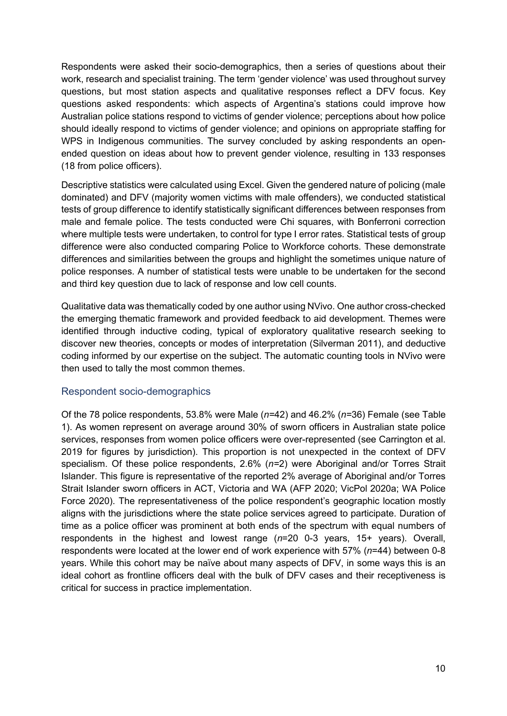Respondents were asked their socio-demographics, then a series of questions about their work, research and specialist training. The term 'gender violence' was used throughout survey questions, but most station aspects and qualitative responses reflect a DFV focus. Key questions asked respondents: which aspects of Argentina's stations could improve how Australian police stations respond to victims of gender violence; perceptions about how police should ideally respond to victims of gender violence; and opinions on appropriate staffing for WPS in Indigenous communities. The survey concluded by asking respondents an openended question on ideas about how to prevent gender violence, resulting in 133 responses (18 from police officers).

Descriptive statistics were calculated using Excel. Given the gendered nature of policing (male dominated) and DFV (majority women victims with male offenders), we conducted statistical tests of group difference to identify statistically significant differences between responses from male and female police. The tests conducted were Chi squares, with Bonferroni correction where multiple tests were undertaken, to control for type I error rates. Statistical tests of group difference were also conducted comparing Police to Workforce cohorts. These demonstrate differences and similarities between the groups and highlight the sometimes unique nature of police responses. A number of statistical tests were unable to be undertaken for the second and third key question due to lack of response and low cell counts.

Qualitative data was thematically coded by one author using NVivo. One author cross-checked the emerging thematic framework and provided feedback to aid development. Themes were identified through inductive coding, typical of exploratory qualitative research seeking to discover new theories, concepts or modes of interpretation (Silverman 2011), and deductive coding informed by our expertise on the subject. The automatic counting tools in NVivo were then used to tally the most common themes.

#### Respondent socio-demographics

Of the 78 police respondents, 53.8% were Male (*n=*42) and 46.2% (*n=*36) Female (see Table 1). As women represent on average around 30% of sworn officers in Australian state police services, responses from women police officers were over-represented (see Carrington et al. 2019 for figures by jurisdiction). This proportion is not unexpected in the context of DFV specialism. Of these police respondents, 2.6% (*n=*2) were Aboriginal and/or Torres Strait Islander. This figure is representative of the reported 2% average of Aboriginal and/or Torres Strait Islander sworn officers in ACT, Victoria and WA (AFP 2020; VicPol 2020a; WA Police Force 2020). The representativeness of the police respondent's geographic location mostly aligns with the jurisdictions where the state police services agreed to participate. Duration of time as a police officer was prominent at both ends of the spectrum with equal numbers of respondents in the highest and lowest range (*n*=20 0-3 years, 15+ years). Overall, respondents were located at the lower end of work experience with 57% (*n*=44) between 0-8 years. While this cohort may be naïve about many aspects of DFV, in some ways this is an ideal cohort as frontline officers deal with the bulk of DFV cases and their receptiveness is critical for success in practice implementation.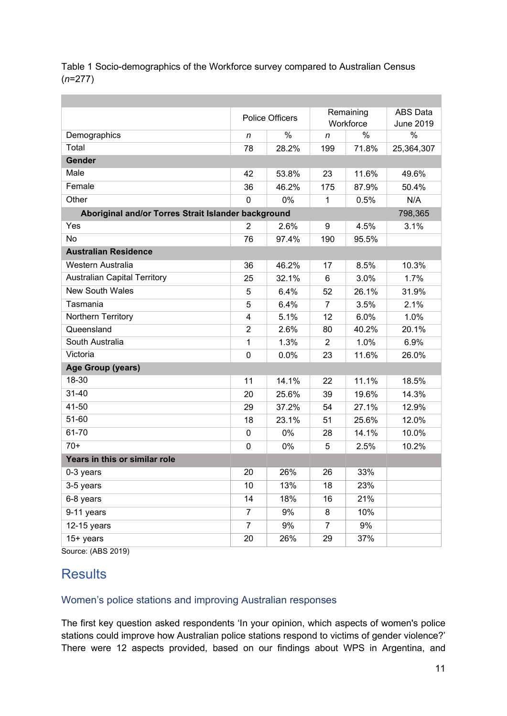Table 1 Socio-demographics of the Workforce survey compared to Australian Census (*n*=277)

|                                                                | <b>Police Officers</b> |       | Remaining      |           | <b>ABS</b> Data |  |  |
|----------------------------------------------------------------|------------------------|-------|----------------|-----------|-----------------|--|--|
|                                                                |                        |       |                | Workforce | June 2019       |  |  |
| Demographics                                                   | n                      | $\%$  | n              | $\%$      | $\frac{0}{0}$   |  |  |
| Total                                                          | 78                     | 28.2% | 199            | 71.8%     | 25,364,307      |  |  |
| <b>Gender</b>                                                  |                        |       |                |           |                 |  |  |
| Male                                                           | 42                     | 53.8% | 23             | 11.6%     | 49.6%           |  |  |
| Female                                                         | 36                     | 46.2% | 175            | 87.9%     | 50.4%           |  |  |
| Other                                                          | 0                      | 0%    | 1              | 0.5%      | N/A             |  |  |
| Aboriginal and/or Torres Strait Islander background<br>798,365 |                        |       |                |           |                 |  |  |
| Yes                                                            | $\overline{2}$         | 2.6%  | 9              | 4.5%      | 3.1%            |  |  |
| No                                                             | 76                     | 97.4% | 190            | 95.5%     |                 |  |  |
| <b>Australian Residence</b>                                    |                        |       |                |           |                 |  |  |
| Western Australia                                              | 36                     | 46.2% | 17             | 8.5%      | 10.3%           |  |  |
| <b>Australian Capital Territory</b>                            | 25                     | 32.1% | 6              | 3.0%      | 1.7%            |  |  |
| <b>New South Wales</b>                                         | 5                      | 6.4%  | 52             | 26.1%     | 31.9%           |  |  |
| Tasmania                                                       | 5                      | 6.4%  | $\overline{7}$ | 3.5%      | 2.1%            |  |  |
| Northern Territory                                             | 4                      | 5.1%  | 12             | 6.0%      | 1.0%            |  |  |
| Queensland                                                     | $\overline{2}$         | 2.6%  | 80             | 40.2%     | 20.1%           |  |  |
| South Australia                                                | 1                      | 1.3%  | $\overline{2}$ | 1.0%      | 6.9%            |  |  |
| Victoria                                                       | 0                      | 0.0%  | 23             | 11.6%     | 26.0%           |  |  |
| Age Group (years)                                              |                        |       |                |           |                 |  |  |
| 18-30                                                          | 11                     | 14.1% | 22             | 11.1%     | 18.5%           |  |  |
| $31 - 40$                                                      | 20                     | 25.6% | 39             | 19.6%     | 14.3%           |  |  |
| 41-50                                                          | 29                     | 37.2% | 54             | 27.1%     | 12.9%           |  |  |
| 51-60                                                          | 18                     | 23.1% | 51             | 25.6%     | 12.0%           |  |  |
| 61-70                                                          | 0                      | 0%    | 28             | 14.1%     | 10.0%           |  |  |
| $70+$                                                          | $\mathbf{0}$           | 0%    | 5              | 2.5%      | 10.2%           |  |  |
| Years in this or similar role                                  |                        |       |                |           |                 |  |  |
| 0-3 years                                                      | 20                     | 26%   | 26             | 33%       |                 |  |  |
| 3-5 years                                                      | 10                     | 13%   | 18             | 23%       |                 |  |  |
| 6-8 years                                                      | 14                     | 18%   | 16             | 21%       |                 |  |  |
| 9-11 years                                                     | $\overline{7}$         | 9%    | 8              | 10%       |                 |  |  |
| 12-15 years                                                    | $\overline{7}$         | 9%    | $\overline{7}$ | 9%        |                 |  |  |
| $15+$ years                                                    | 20                     | 26%   | 29             | 37%       |                 |  |  |
|                                                                |                        |       |                |           |                 |  |  |

Source: (ABS 2019)

# **Results**

#### Women's police stations and improving Australian responses

The first key question asked respondents 'In your opinion, which aspects of women's police stations could improve how Australian police stations respond to victims of gender violence?' There were 12 aspects provided, based on our findings about WPS in Argentina, and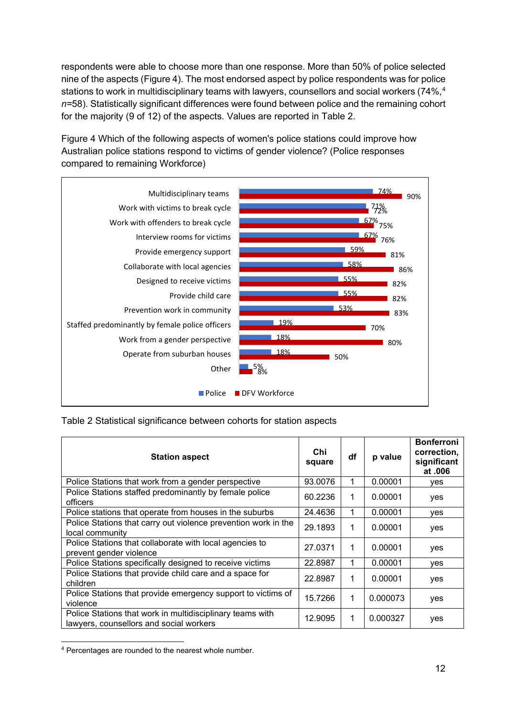respondents were able to choose more than one response. More than 50% of police selected nine of the aspects (Figure 4). The most endorsed aspect by police respondents was for police stations to work in multidisciplinary teams with lawyers, counsellors and social workers (7[4](#page-11-0)%,<sup>4</sup>) *n=*58). Statistically significant differences were found between police and the remaining cohort for the majority (9 of 12) of the aspects. Values are reported in Table 2.



Figure 4 Which of the following aspects of women's police stations could improve how Australian police stations respond to victims of gender violence? (Police responses compared to remaining Workforce)

#### Table 2 Statistical significance between cohorts for station aspects

| <b>Station aspect</b>                                                                                | Chi<br>square | df           | p value  | <b>Bonferroni</b><br>correction,<br>significant<br>at .006 |
|------------------------------------------------------------------------------------------------------|---------------|--------------|----------|------------------------------------------------------------|
| Police Stations that work from a gender perspective                                                  | 93.0076       | 1            | 0.00001  | <b>ves</b>                                                 |
| Police Stations staffed predominantly by female police<br>officers                                   | 60.2236       | 1            | 0.00001  | yes                                                        |
| Police stations that operate from houses in the suburbs                                              | 24.4636       | 1            | 0.00001  | ves                                                        |
| Police Stations that carry out violence prevention work in the<br>local community                    | 29.1893       | 1            | 0.00001  | yes                                                        |
| Police Stations that collaborate with local agencies to<br>prevent gender violence                   | 27.0371       | 1            | 0.00001  | yes                                                        |
| Police Stations specifically designed to receive victims                                             | 22.8987       | $\mathbf{1}$ | 0.00001  | <b>ves</b>                                                 |
| Police Stations that provide child care and a space for<br>children                                  | 22.8987       | 1            | 0.00001  | yes                                                        |
| Police Stations that provide emergency support to victims of<br>violence                             | 15.7266       | 1            | 0.000073 | yes                                                        |
| Police Stations that work in multidisciplinary teams with<br>lawyers, counsellors and social workers | 12.9095       | 1            | 0.000327 | yes                                                        |

<span id="page-11-0"></span><sup>4</sup> Percentages are rounded to the nearest whole number.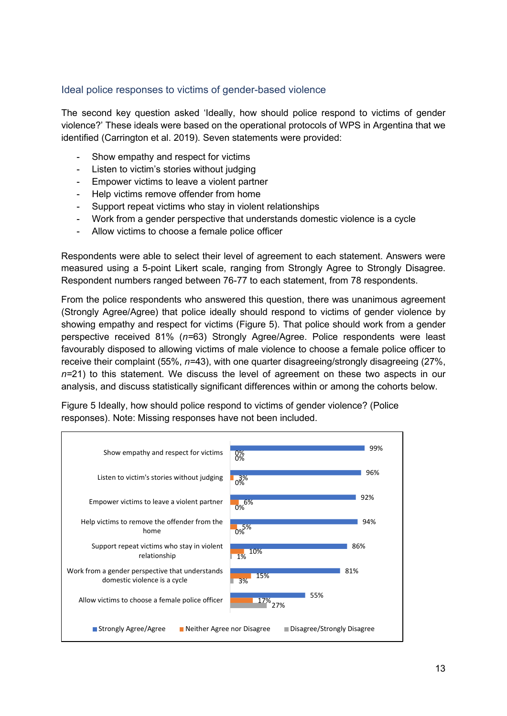#### Ideal police responses to victims of gender-based violence

The second key question asked 'Ideally, how should police respond to victims of gender violence?' These ideals were based on the operational protocols of WPS in Argentina that we identified (Carrington et al. 2019). Seven statements were provided:

- Show empathy and respect for victims
- Listen to victim's stories without judging
- Empower victims to leave a violent partner
- Help victims remove offender from home
- Support repeat victims who stay in violent relationships
- Work from a gender perspective that understands domestic violence is a cycle
- Allow victims to choose a female police officer

Respondents were able to select their level of agreement to each statement. Answers were measured using a 5-point Likert scale, ranging from Strongly Agree to Strongly Disagree. Respondent numbers ranged between 76-77 to each statement, from 78 respondents.

From the police respondents who answered this question, there was unanimous agreement (Strongly Agree/Agree) that police ideally should respond to victims of gender violence by showing empathy and respect for victims (Figure 5). That police should work from a gender perspective received 81% (*n=*63) Strongly Agree/Agree. Police respondents were least favourably disposed to allowing victims of male violence to choose a female police officer to receive their complaint (55%, *n=*43), with one quarter disagreeing/strongly disagreeing (27%, *n=*21) to this statement. We discuss the level of agreement on these two aspects in our analysis, and discuss statistically significant differences within or among the cohorts below.



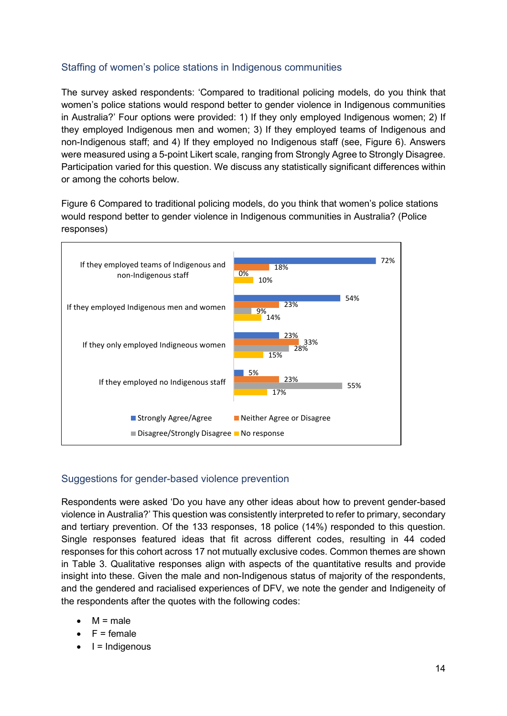#### Staffing of women's police stations in Indigenous communities

The survey asked respondents: 'Compared to traditional policing models, do you think that women's police stations would respond better to gender violence in Indigenous communities in Australia?' Four options were provided: 1) If they only employed Indigenous women; 2) If they employed Indigenous men and women; 3) If they employed teams of Indigenous and non-Indigenous staff; and 4) If they employed no Indigenous staff (see, Figure 6). Answers were measured using a 5-point Likert scale, ranging from Strongly Agree to Strongly Disagree. Participation varied for this question. We discuss any statistically significant differences within or among the cohorts below.

Figure 6 Compared to traditional policing models, do you think that women's police stations would respond better to gender violence in Indigenous communities in Australia? (Police responses)



#### Suggestions for gender-based violence prevention

Respondents were asked 'Do you have any other ideas about how to prevent gender-based violence in Australia?' This question was consistently interpreted to refer to primary, secondary and tertiary prevention. Of the 133 responses, 18 police (14%) responded to this question. Single responses featured ideas that fit across different codes, resulting in 44 coded responses for this cohort across 17 not mutually exclusive codes. Common themes are shown in Table 3. Qualitative responses align with aspects of the quantitative results and provide insight into these. Given the male and non-Indigenous status of majority of the respondents, and the gendered and racialised experiences of DFV, we note the gender and Indigeneity of the respondents after the quotes with the following codes:

- $M = male$
- $F =$  female
- I = Indigenous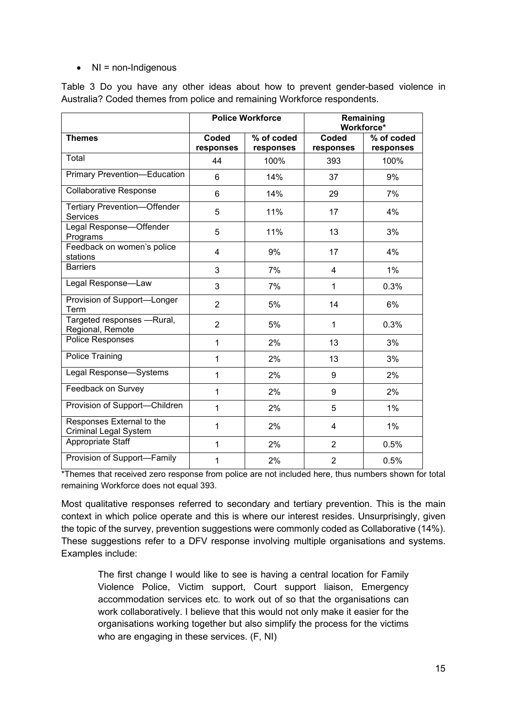#### $\bullet$  NI = non-Indigenous

Table 3 Do you have any other ideas about how to prevent gender-based violence in Australia? Coded themes from police and remaining Workforce respondents.

|                                                           | <b>Police Workforce</b> |                         | Remaining<br>Workforce* |                         |
|-----------------------------------------------------------|-------------------------|-------------------------|-------------------------|-------------------------|
| <b>Themes</b>                                             | Coded<br>responses      | % of coded<br>responses | Coded<br>responses      | % of coded<br>responses |
| Total                                                     | 44                      | 100%                    | 393                     | 100%                    |
| <b>Primary Prevention-Education</b>                       | 6                       | 14%                     | 37                      | 9%                      |
| <b>Collaborative Response</b>                             | 6                       | 14%                     | 29                      | 7%                      |
| <b>Tertiary Prevention-Offender</b><br><b>Services</b>    | 5                       | 11%                     | 17                      | 4%                      |
| Legal Response-Offender<br>Programs                       | 5                       | 11%                     | 13                      | 3%                      |
| Feedback on women's police<br>stations                    | 4                       | 9%                      | 17                      | 4%                      |
| <b>Barriers</b>                                           | 3                       | 7%                      | 4                       | 1%                      |
| Legal Response-Law                                        | 3                       | 7%                      | $\mathbf 1$             | 0.3%                    |
| Provision of Support-Longer<br>Term                       | $\overline{2}$          | 5%                      | 14                      | 6%                      |
| Targeted responses -Rural,<br>Regional, Remote            | $\overline{2}$          | 5%                      | $\mathbf 1$             | 0.3%                    |
| Police Responses                                          | $\mathbf{1}$            | 2%                      | 13                      | 3%                      |
| Police Training                                           | 1                       | 2%                      | 13                      | 3%                      |
| Legal Response-Systems                                    | 1                       | 2%                      | 9                       | 2%                      |
| Feedback on Survey                                        | 1                       | 2%                      | 9                       | 2%                      |
| Provision of Support-Children                             | 1                       | 2%                      | 5                       | 1%                      |
| Responses External to the<br><b>Criminal Legal System</b> | $\mathbf{1}$            | 2%                      | 4                       | 1%                      |
| Appropriate Staff                                         | 1                       | 2%                      | $\overline{2}$          | 0.5%                    |
| Provision of Support-Family                               | 1                       | 2%                      | $\overline{2}$          | 0.5%                    |

\*Themes that received zero response from police are not included here, thus numbers shown for total remaining Workforce does not equal 393.

Most qualitative responses referred to secondary and tertiary prevention. This is the main context in which police operate and this is where our interest resides. Unsurprisingly, given the topic of the survey, prevention suggestions were commonly coded as Collaborative (14%). These suggestions refer to a DFV response involving multiple organisations and systems. Examples include:

The first change I would like to see is having a central location for Family Violence Police, Victim support, Court support liaison, Emergency accommodation services etc. to work out of so that the organisations can work collaboratively. I believe that this would not only make it easier for the organisations working together but also simplify the process for the victims who are engaging in these services. (F, NI)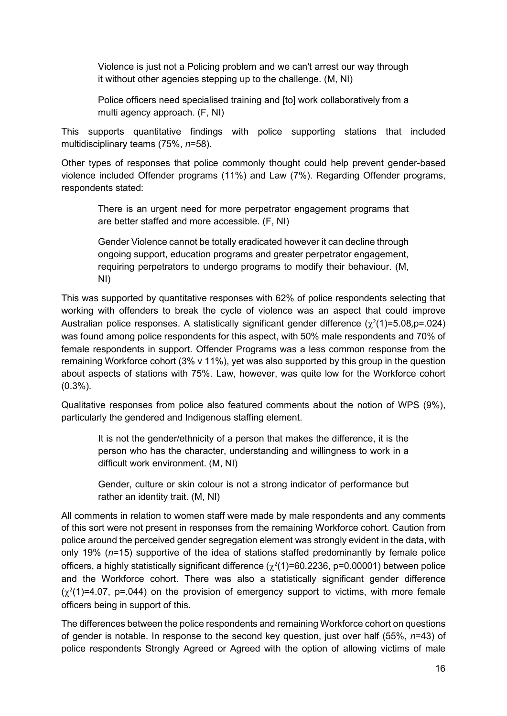Violence is just not a Policing problem and we can't arrest our way through it without other agencies stepping up to the challenge. (M, NI)

Police officers need specialised training and [to] work collaboratively from a multi agency approach. (F, NI)

This supports quantitative findings with police supporting stations that included multidisciplinary teams (75%, *n*=58).

Other types of responses that police commonly thought could help prevent gender-based violence included Offender programs (11%) and Law (7%). Regarding Offender programs, respondents stated:

There is an urgent need for more perpetrator engagement programs that are better staffed and more accessible. (F, NI)

Gender Violence cannot be totally eradicated however it can decline through ongoing support, education programs and greater perpetrator engagement, requiring perpetrators to undergo programs to modify their behaviour. (M, NI)

This was supported by quantitative responses with 62% of police respondents selecting that working with offenders to break the cycle of violence was an aspect that could improve Australian police responses. A statistically significant gender difference  $(\chi^2(1)=5.08$ ,p=.024) was found among police respondents for this aspect, with 50% male respondents and 70% of female respondents in support. Offender Programs was a less common response from the remaining Workforce cohort (3% v 11%), yet was also supported by this group in the question about aspects of stations with 75%. Law, however, was quite low for the Workforce cohort (0.3%).

Qualitative responses from police also featured comments about the notion of WPS (9%), particularly the gendered and Indigenous staffing element.

It is not the gender/ethnicity of a person that makes the difference, it is the person who has the character, understanding and willingness to work in a difficult work environment. (M, NI)

Gender, culture or skin colour is not a strong indicator of performance but rather an identity trait. (M, NI)

All comments in relation to women staff were made by male respondents and any comments of this sort were not present in responses from the remaining Workforce cohort. Caution from police around the perceived gender segregation element was strongly evident in the data, with only 19% (*n*=15) supportive of the idea of stations staffed predominantly by female police officers, a highly statistically significant difference ( $\chi^2(1)$ =60.2236, p=0.00001) between police and the Workforce cohort. There was also a statistically significant gender difference  $(\chi^2(1)=4.07, p=.044)$  on the provision of emergency support to victims, with more female officers being in support of this.

The differences between the police respondents and remaining Workforce cohort on questions of gender is notable. In response to the second key question, just over half (55%, *n*=43) of police respondents Strongly Agreed or Agreed with the option of allowing victims of male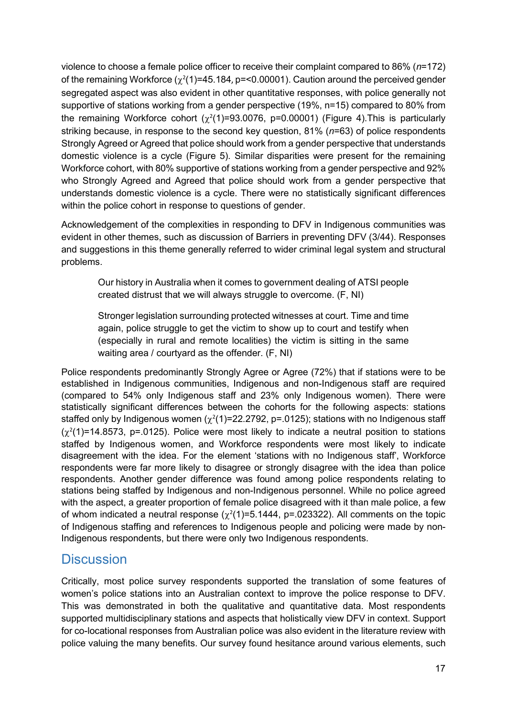violence to choose a female police officer to receive their complaint compared to 86% (*n*=172) of the remaining Workforce  $(\chi^2(1)=45.184, p=<0.00001)$ . Caution around the perceived gender segregated aspect was also evident in other quantitative responses, with police generally not supportive of stations working from a gender perspective (19%, n=15) compared to 80% from the remaining Workforce cohort  $(\chi^2(1)=93.0076, p=0.00001)$  (Figure 4). This is particularly striking because, in response to the second key question, 81% (*n*=63) of police respondents Strongly Agreed or Agreed that police should work from a gender perspective that understands domestic violence is a cycle (Figure 5). Similar disparities were present for the remaining Workforce cohort, with 80% supportive of stations working from a gender perspective and 92% who Strongly Agreed and Agreed that police should work from a gender perspective that understands domestic violence is a cycle. There were no statistically significant differences within the police cohort in response to questions of gender.

Acknowledgement of the complexities in responding to DFV in Indigenous communities was evident in other themes, such as discussion of Barriers in preventing DFV (3/44). Responses and suggestions in this theme generally referred to wider criminal legal system and structural problems.

Our history in Australia when it comes to government dealing of ATSI people created distrust that we will always struggle to overcome. (F, NI)

Stronger legislation surrounding protected witnesses at court. Time and time again, police struggle to get the victim to show up to court and testify when (especially in rural and remote localities) the victim is sitting in the same waiting area / courtyard as the offender. (F, NI)

Police respondents predominantly Strongly Agree or Agree (72%) that if stations were to be established in Indigenous communities, Indigenous and non-Indigenous staff are required (compared to 54% only Indigenous staff and 23% only Indigenous women). There were statistically significant differences between the cohorts for the following aspects: stations staffed only by Indigenous women  $(\chi^2(1)=22.2792, p=.0125)$ ; stations with no Indigenous staff  $(\chi^2(1)=14.8573, p=.0125)$ . Police were most likely to indicate a neutral position to stations staffed by Indigenous women, and Workforce respondents were most likely to indicate disagreement with the idea. For the element 'stations with no Indigenous staff', Workforce respondents were far more likely to disagree or strongly disagree with the idea than police respondents. Another gender difference was found among police respondents relating to stations being staffed by Indigenous and non-Indigenous personnel. While no police agreed with the aspect, a greater proportion of female police disagreed with it than male police, a few of whom indicated a neutral response  $(\chi^2(1)=5.1444, p=.023322)$ . All comments on the topic of Indigenous staffing and references to Indigenous people and policing were made by non-Indigenous respondents, but there were only two Indigenous respondents.

### **Discussion**

Critically, most police survey respondents supported the translation of some features of women's police stations into an Australian context to improve the police response to DFV. This was demonstrated in both the qualitative and quantitative data. Most respondents supported multidisciplinary stations and aspects that holistically view DFV in context. Support for co-locational responses from Australian police was also evident in the literature review with police valuing the many benefits. Our survey found hesitance around various elements, such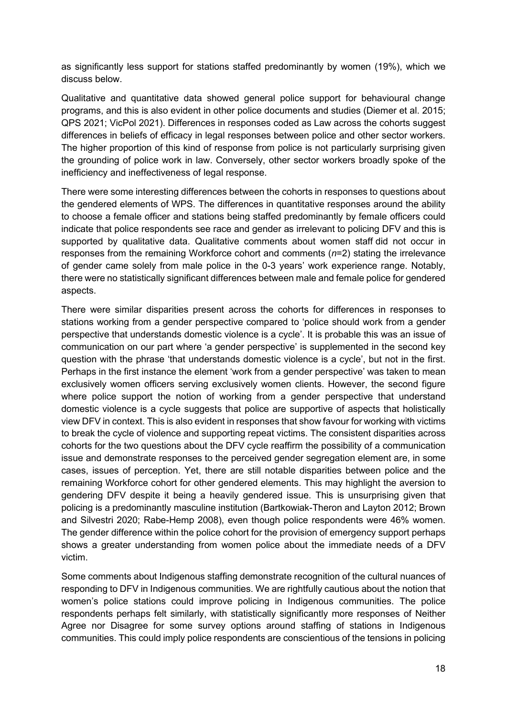as significantly less support for stations staffed predominantly by women (19%), which we discuss below.

Qualitative and quantitative data showed general police support for behavioural change programs, and this is also evident in other police documents and studies (Diemer et al. 2015; QPS 2021; VicPol 2021). Differences in responses coded as Law across the cohorts suggest differences in beliefs of efficacy in legal responses between police and other sector workers. The higher proportion of this kind of response from police is not particularly surprising given the grounding of police work in law. Conversely, other sector workers broadly spoke of the inefficiency and ineffectiveness of legal response.

There were some interesting differences between the cohorts in responses to questions about the gendered elements of WPS. The differences in quantitative responses around the ability to choose a female officer and stations being staffed predominantly by female officers could indicate that police respondents see race and gender as irrelevant to policing DFV and this is supported by qualitative data. Qualitative comments about women staff did not occur in responses from the remaining Workforce cohort and comments (*n*=2) stating the irrelevance of gender came solely from male police in the 0-3 years' work experience range. Notably, there were no statistically significant differences between male and female police for gendered aspects.

There were similar disparities present across the cohorts for differences in responses to stations working from a gender perspective compared to 'police should work from a gender perspective that understands domestic violence is a cycle'. It is probable this was an issue of communication on our part where 'a gender perspective' is supplemented in the second key question with the phrase 'that understands domestic violence is a cycle', but not in the first. Perhaps in the first instance the element 'work from a gender perspective' was taken to mean exclusively women officers serving exclusively women clients. However, the second figure where police support the notion of working from a gender perspective that understand domestic violence is a cycle suggests that police are supportive of aspects that holistically view DFV in context. This is also evident in responses that show favour for working with victims to break the cycle of violence and supporting repeat victims. The consistent disparities across cohorts for the two questions about the DFV cycle reaffirm the possibility of a communication issue and demonstrate responses to the perceived gender segregation element are, in some cases, issues of perception. Yet, there are still notable disparities between police and the remaining Workforce cohort for other gendered elements. This may highlight the aversion to gendering DFV despite it being a heavily gendered issue. This is unsurprising given that policing is a predominantly masculine institution (Bartkowiak-Theron and Layton 2012; Brown and Silvestri 2020; Rabe-Hemp 2008), even though police respondents were 46% women. The gender difference within the police cohort for the provision of emergency support perhaps shows a greater understanding from women police about the immediate needs of a DFV victim.

Some comments about Indigenous staffing demonstrate recognition of the cultural nuances of responding to DFV in Indigenous communities. We are rightfully cautious about the notion that women's police stations could improve policing in Indigenous communities. The police respondents perhaps felt similarly, with statistically significantly more responses of Neither Agree nor Disagree for some survey options around staffing of stations in Indigenous communities. This could imply police respondents are conscientious of the tensions in policing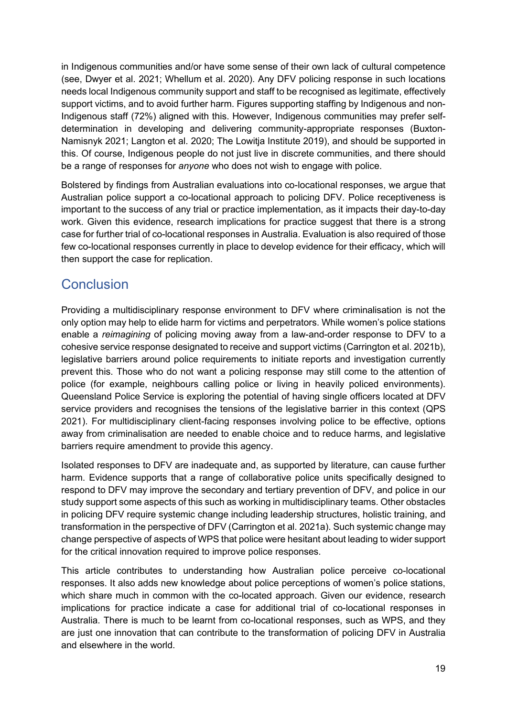in Indigenous communities and/or have some sense of their own lack of cultural competence (see, Dwyer et al. 2021; Whellum et al. 2020). Any DFV policing response in such locations needs local Indigenous community support and staff to be recognised as legitimate, effectively support victims, and to avoid further harm. Figures supporting staffing by Indigenous and non-Indigenous staff (72%) aligned with this. However, Indigenous communities may prefer selfdetermination in developing and delivering community-appropriate responses (Buxton-Namisnyk 2021; Langton et al. 2020; The Lowitja Institute 2019), and should be supported in this. Of course, Indigenous people do not just live in discrete communities, and there should be a range of responses for *anyone* who does not wish to engage with police.

Bolstered by findings from Australian evaluations into co-locational responses, we argue that Australian police support a co-locational approach to policing DFV. Police receptiveness is important to the success of any trial or practice implementation, as it impacts their day-to-day work. Given this evidence, research implications for practice suggest that there is a strong case for further trial of co-locational responses in Australia. Evaluation is also required of those few co-locational responses currently in place to develop evidence for their efficacy, which will then support the case for replication.

# Conclusion

Providing a multidisciplinary response environment to DFV where criminalisation is not the only option may help to elide harm for victims and perpetrators. While women's police stations enable a *reimagining* of policing moving away from a law-and-order response to DFV to a cohesive service response designated to receive and support victims (Carrington et al. 2021b), legislative barriers around police requirements to initiate reports and investigation currently prevent this. Those who do not want a policing response may still come to the attention of police (for example, neighbours calling police or living in heavily policed environments). Queensland Police Service is exploring the potential of having single officers located at DFV service providers and recognises the tensions of the legislative barrier in this context (QPS 2021). For multidisciplinary client-facing responses involving police to be effective, options away from criminalisation are needed to enable choice and to reduce harms, and legislative barriers require amendment to provide this agency.

Isolated responses to DFV are inadequate and, as supported by literature, can cause further harm. Evidence supports that a range of collaborative police units specifically designed to respond to DFV may improve the secondary and tertiary prevention of DFV, and police in our study support some aspects of this such as working in multidisciplinary teams. Other obstacles in policing DFV require systemic change including leadership structures, holistic training, and transformation in the perspective of DFV (Carrington et al. 2021a). Such systemic change may change perspective of aspects of WPS that police were hesitant about leading to wider support for the critical innovation required to improve police responses.

This article contributes to understanding how Australian police perceive co-locational responses. It also adds new knowledge about police perceptions of women's police stations, which share much in common with the co-located approach. Given our evidence, research implications for practice indicate a case for additional trial of co-locational responses in Australia. There is much to be learnt from co-locational responses, such as WPS, and they are just one innovation that can contribute to the transformation of policing DFV in Australia and elsewhere in the world.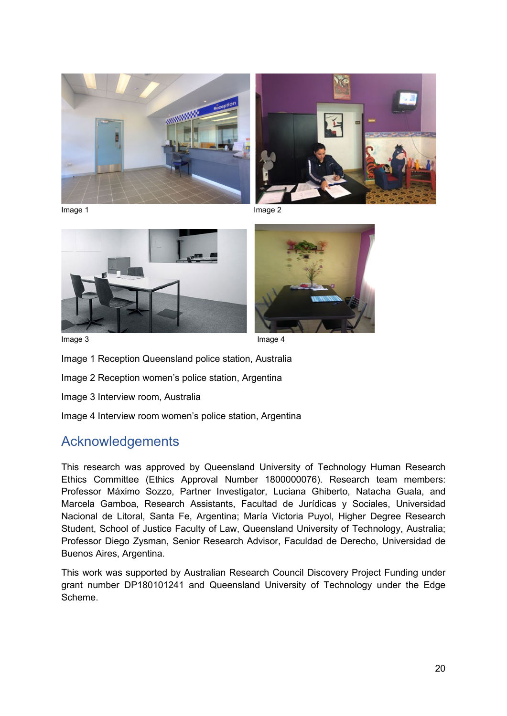<span id="page-19-0"></span>



Image 1 and 1 Image 2





Image 1 Reception Queensland police station, Australia

Image 2 Reception women's police station, Argentina

Image 3 Interview room, Australia

Image 4 Interview room women's police station, Argentina

### Acknowledgements

This research was approved by Queensland University of Technology Human Research Ethics Committee (Ethics Approval Number 1800000076). Research team members: Professor Máximo Sozzo, Partner Investigator, Luciana Ghiberto, Natacha Guala, and Marcela Gamboa, Research Assistants, Facultad de Jurídicas y Sociales, Universidad Nacional de Litoral, Santa Fe, Argentina; María Victoria Puyol, Higher Degree Research Student, School of Justice Faculty of Law, Queensland University of Technology, Australia; Professor Diego Zysman, Senior Research Advisor, Faculdad de Derecho, Universidad de Buenos Aires, Argentina.

This work was supported by Australian Research Council Discovery Project Funding under grant number DP180101241 and Queensland University of Technology under the Edge Scheme.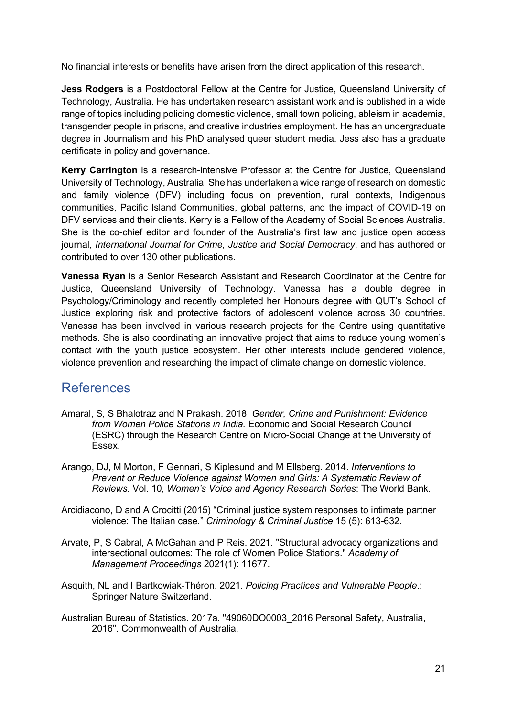No financial interests or benefits have arisen from the direct application of this research.

**Jess Rodgers** is a Postdoctoral Fellow at the Centre for Justice, Queensland University of Technology, Australia. He has undertaken research assistant work and is published in a wide range of topics including policing domestic violence, small town policing, ableism in academia, transgender people in prisons, and creative industries employment. He has an undergraduate degree in Journalism and his PhD analysed queer student media. Jess also has a graduate certificate in policy and governance.

**Kerry Carrington** is a research-intensive Professor at the Centre for Justice, Queensland University of Technology, Australia. She has undertaken a wide range of research on domestic and family violence (DFV) including focus on prevention, rural contexts, Indigenous communities, Pacific Island Communities, global patterns, and the impact of COVID-19 on DFV services and their clients. Kerry is a Fellow of the Academy of Social Sciences Australia. She is the co-chief editor and founder of the Australia's first law and justice open access journal, *International Journal for Crime, Justice and Social Democracy*, and has authored or contributed to over 130 other publications.

**Vanessa Ryan** is a Senior Research Assistant and Research Coordinator at the Centre for Justice, Queensland University of Technology. Vanessa has a double degree in Psychology/Criminology and recently completed her Honours degree with QUT's School of Justice exploring risk and protective factors of adolescent violence across 30 countries. Vanessa has been involved in various research projects for the Centre using quantitative methods. She is also coordinating an innovative project that aims to reduce young women's contact with the youth justice ecosystem. Her other interests include gendered violence, violence prevention and researching the impact of climate change on domestic violence.

### References

- Amaral, S, S Bhalotraz and N Prakash. 2018. *Gender, Crime and Punishment: Evidence from Women Police Stations in India.* Economic and Social Research Council (ESRC) through the Research Centre on Micro-Social Change at the University of Essex.
- Arango, DJ, M Morton, F Gennari, S Kiplesund and M Ellsberg. 2014. *Interventions to Prevent or Reduce Violence against Women and Girls: A Systematic Review of Reviews*. Vol. 10, *Women's Voice and Agency Research Series*: The World Bank.
- Arcidiacono, D and A Crocitti (2015) "Criminal justice system responses to intimate partner violence: The Italian case." *Criminology & Criminal Justice* 15 (5): 613-632.
- Arvate, P, S Cabral, A McGahan and P Reis. 2021. "Structural advocacy organizations and intersectional outcomes: The role of Women Police Stations." *Academy of Management Proceedings* 2021(1): 11677.
- Asquith, NL and I Bartkowiak-Théron. 2021. *Policing Practices and Vulnerable People*.: Springer Nature Switzerland.
- Australian Bureau of Statistics. 2017a. "49060DO0003\_2016 Personal Safety, Australia, 2016". Commonwealth of Australia.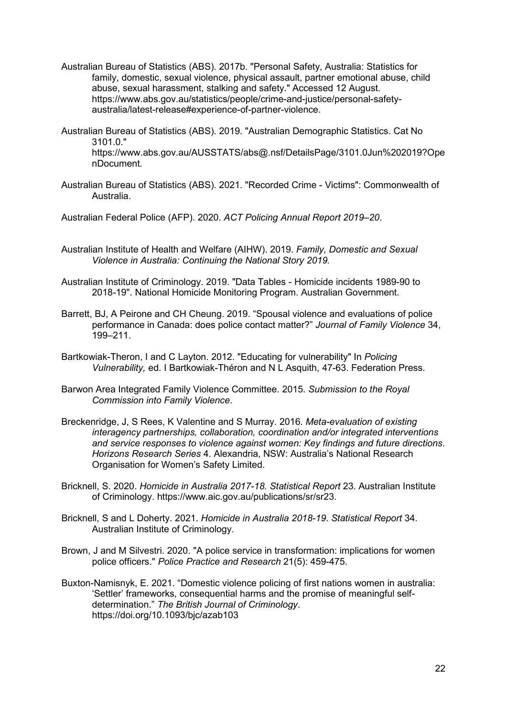- Australian Bureau of Statistics (ABS). 2017b. "Personal Safety, Australia: Statistics for family, domestic, sexual violence, physical assault, partner emotional abuse, child abuse, sexual harassment, stalking and safety." Accessed 12 August. https://www.abs.gov.au/statistics/people/crime-and-justice/personal-safetyaustralia/latest-release#experience-of-partner-violence.
- Australian Bureau of Statistics (ABS). 2019. "Australian Demographic Statistics. Cat No 3101.0." https://www.abs.gov.au/AUSSTATS/abs@.nsf/DetailsPage/3101.0Jun%202019?Ope
- Australian Bureau of Statistics (ABS). 2021. "Recorded Crime Victims": Commonwealth of Australia.
- Australian Federal Police (AFP). 2020. *ACT Policing Annual Report 2019–20*.

nDocument.

- Australian Institute of Health and Welfare (AIHW). 2019. *Family, Domestic and Sexual Violence in Australia: Continuing the National Story 2019.*
- Australian Institute of Criminology. 2019. "Data Tables Homicide incidents 1989-90 to 2018-19". National Homicide Monitoring Program. Australian Government.
- Barrett, BJ, A Peirone and CH Cheung. 2019. "Spousal violence and evaluations of police performance in Canada: does police contact matter?" *Journal of Family Violence* 34, 199–211.
- Bartkowiak-Theron, I and C Layton. 2012. "Educating for vulnerability" In *Policing Vulnerability,* ed. I Bartkowiak-Théron and N L Asquith, 47-63. Federation Press.
- Barwon Area Integrated Family Violence Committee. 2015. *Submission to the Royal Commission into Family Violence*.
- Breckenridge, J, S Rees, K Valentine and S Murray. 2016. *Meta-evaluation of existing interagency partnerships, collaboration, coordination and/or integrated interventions and service responses to violence against women: Key findings and future directions*. *Horizons Research Series* 4. Alexandria, NSW: Australia's National Research Organisation for Women's Safety Limited.
- Bricknell, S. 2020. *Homicide in Australia 2017-18. Statistical Report* 23. Australian Institute of Criminology. https://www.aic.gov.au/publications/sr/sr23.
- Bricknell, S and L Doherty. 2021. *Homicide in Australia 2018-19*. *Statistical Report* 34. Australian Institute of Criminology.
- Brown, J and M Silvestri. 2020. "A police service in transformation: implications for women police officers." *Police Practice and Research* 21(5): 459-475.
- Buxton-Namisnyk, E. 2021. "Domestic violence policing of first nations women in australia: 'Settler' frameworks, consequential harms and the promise of meaningful selfdetermination." *The British Journal of Criminology*. https://doi.org/10.1093/bjc/azab103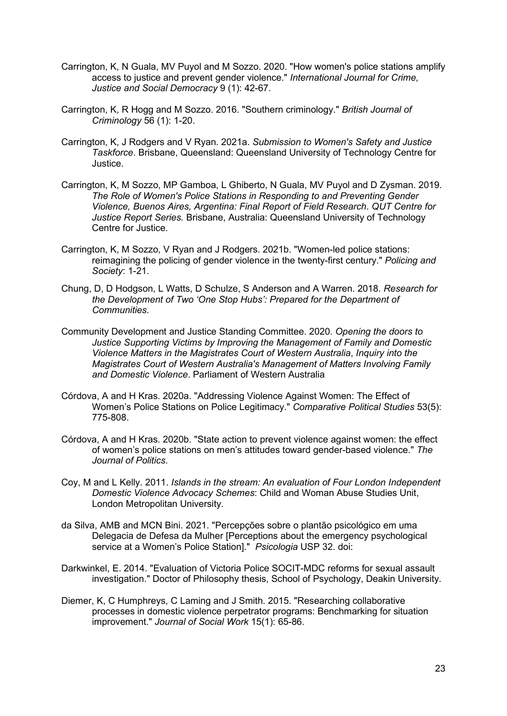- Carrington, K, N Guala, MV Puyol and M Sozzo. 2020. "How women's police stations amplify access to justice and prevent gender violence." *International Journal for Crime, Justice and Social Democracy* 9 (1): 42-67.
- Carrington, K, R Hogg and M Sozzo. 2016. "Southern criminology." *British Journal of Criminology* 56 (1): 1-20.
- Carrington, K, J Rodgers and V Ryan. 2021a. *Submission to Women's Safety and Justice Taskforce*. Brisbane, Queensland: Queensland University of Technology Centre for Justice.
- Carrington, K, M Sozzo, MP Gamboa, L Ghiberto, N Guala, MV Puyol and D Zysman. 2019. *The Role of Women's Police Stations in Responding to and Preventing Gender Violence, Buenos Aires, Argentina: Final Report of Field Research*. *QUT Centre for Justice Report Series.* Brisbane, Australia: Queensland University of Technology Centre for Justice.
- Carrington, K, M Sozzo, V Ryan and J Rodgers. 2021b. "Women-led police stations: reimagining the policing of gender violence in the twenty-first century." *Policing and Society*: 1-21.
- Chung, D, D Hodgson, L Watts, D Schulze, S Anderson and A Warren. 2018. *Research for the Development of Two 'One Stop Hubs': Prepared for the Department of Communities*.
- Community Development and Justice Standing Committee. 2020. *Opening the doors to Justice Supporting Victims by Improving the Management of Family and Domestic Violence Matters in the Magistrates Court of Western Australia*, *Inquiry into the Magistrates Court of Western Australia's Management of Matters Involving Family and Domestic Violence*. Parliament of Western Australia
- Córdova, A and H Kras. 2020a. "Addressing Violence Against Women: The Effect of Women's Police Stations on Police Legitimacy." *Comparative Political Studies* 53(5): 775-808.
- Córdova, A and H Kras. 2020b. "State action to prevent violence against women: the effect of women's police stations on men's attitudes toward gender-based violence." *The Journal of Politics*.
- Coy, M and L Kelly. 2011. *Islands in the stream: An evaluation of Four London Independent Domestic Violence Advocacy Schemes*: Child and Woman Abuse Studies Unit, London Metropolitan University.
- da Silva, AMB and MCN Bini. 2021. "Percepções sobre o plantão psicológico em uma Delegacia de Defesa da Mulher [Perceptions about the emergency psychological service at a Women's Police Station]." *Psicologia* USP 32. doi:
- Darkwinkel, E. 2014. "Evaluation of Victoria Police SOCIT-MDC reforms for sexual assault investigation." Doctor of Philosophy thesis, School of Psychology, Deakin University.
- Diemer, K, C Humphreys, C Laming and J Smith. 2015. "Researching collaborative processes in domestic violence perpetrator programs: Benchmarking for situation improvement." *Journal of Social Work* 15(1): 65-86.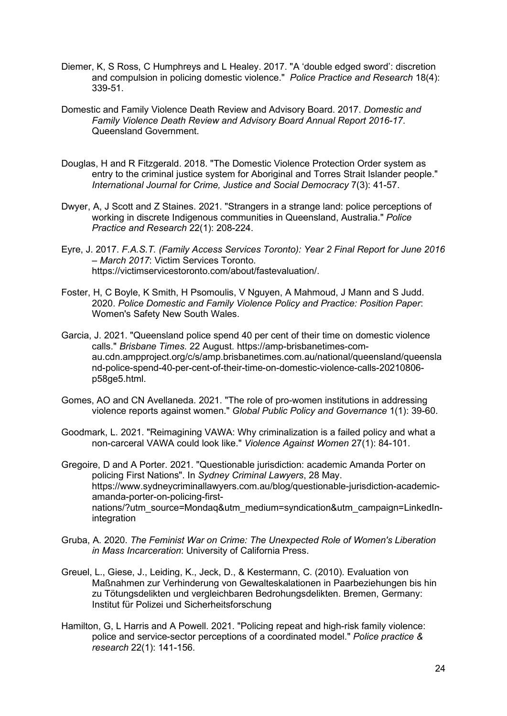- Diemer, K, S Ross, C Humphreys and L Healey. 2017. "A 'double edged sword': discretion and compulsion in policing domestic violence." *Police Practice and Research* 18(4): 339-51.
- Domestic and Family Violence Death Review and Advisory Board. 2017. *Domestic and Family Violence Death Review and Advisory Board Annual Report 2016-17*. Queensland Government.
- Douglas, H and R Fitzgerald. 2018. "The Domestic Violence Protection Order system as entry to the criminal justice system for Aboriginal and Torres Strait Islander people." *International Journal for Crime, Justice and Social Democracy* 7(3): 41-57.
- Dwyer, A, J Scott and Z Staines. 2021. "Strangers in a strange land: police perceptions of working in discrete Indigenous communities in Queensland, Australia." *Police Practice and Research* 22(1): 208-224.
- Eyre, J. 2017. *F.A.S.T. (Family Access Services Toronto): Year 2 Final Report for June 2016 – March 2017*: Victim Services Toronto. https://victimservicestoronto.com/about/fastevaluation/.
- Foster, H, C Boyle, K Smith, H Psomoulis, V Nguyen, A Mahmoud, J Mann and S Judd. 2020. *Police Domestic and Family Violence Policy and Practice: Position Paper*: Women's Safety New South Wales.
- Garcia, J. 2021. "Queensland police spend 40 per cent of their time on domestic violence calls." *Brisbane Times*. 22 August. https://amp-brisbanetimes-comau.cdn.ampproject.org/c/s/amp.brisbanetimes.com.au/national/queensland/queensla nd-police-spend-40-per-cent-of-their-time-on-domestic-violence-calls-20210806 p58ge5.html.
- Gomes, AO and CN Avellaneda. 2021. "The role of pro-women institutions in addressing violence reports against women." *Global Public Policy and Governance* 1(1): 39-60.
- Goodmark, L. 2021. "Reimagining VAWA: Why criminalization is a failed policy and what a non-carceral VAWA could look like." *Violence Against Women* 27(1): 84-101.

Gregoire, D and A Porter. 2021. "Questionable jurisdiction: academic Amanda Porter on policing First Nations". In *Sydney Criminal Lawyers*, 28 May. https://www.sydneycriminallawyers.com.au/blog/questionable-jurisdiction-academicamanda-porter-on-policing-firstnations/?utm\_source=Mondaq&utm\_medium=syndication&utm\_campaign=LinkedInintegration

- Gruba, A. 2020. *The Feminist War on Crime: The Unexpected Role of Women's Liberation in Mass Incarceration*: University of California Press.
- Greuel, L., Giese, J., Leiding, K., Jeck, D., & Kestermann, C. (2010). Evaluation von Maßnahmen zur Verhinderung von Gewalteskalationen in Paarbeziehungen bis hin zu Tötungsdelikten und vergleichbaren Bedrohungsdelikten. Bremen, Germany: Institut für Polizei und Sicherheitsforschung
- Hamilton, G, L Harris and A Powell. 2021. "Policing repeat and high-risk family violence: police and service-sector perceptions of a coordinated model." *Police practice & research* 22(1): 141-156.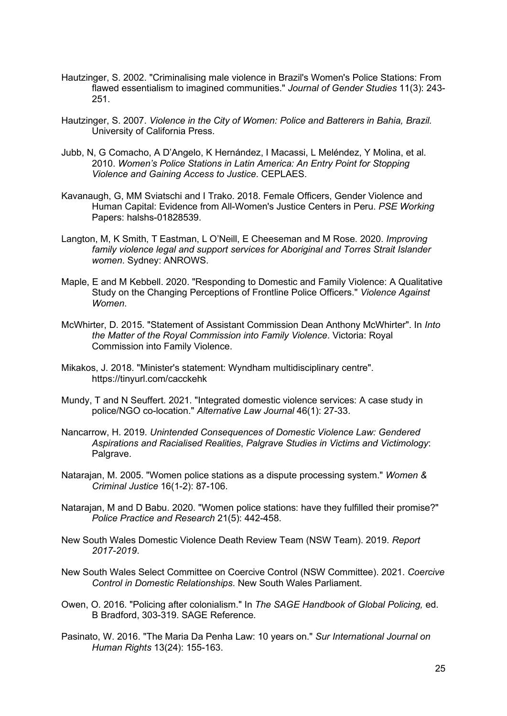- Hautzinger, S. 2002. "Criminalising male violence in Brazil's Women's Police Stations: From flawed essentialism to imagined communities." *Journal of Gender Studies* 11(3): 243- 251.
- Hautzinger, S. 2007. *Violence in the City of Women: Police and Batterers in Bahia, Brazil.* University of California Press.
- Jubb, N, G Comacho, A D'Angelo, K Hernández, I Macassi, L Meléndez, Y Molina, et al. 2010. *Women's Police Stations in Latin America: An Entry Point for Stopping Violence and Gaining Access to Justice*. CEPLAES.
- Kavanaugh, G, MM Sviatschi and I Trako. 2018. Female Officers, Gender Violence and Human Capital: Evidence from All-Women's Justice Centers in Peru. *PSE Working*  Papers: halshs-01828539.
- Langton, M, K Smith, T Eastman, L O'Neill, E Cheeseman and M Rose. 2020. *Improving family violence legal and support services for Aboriginal and Torres Strait Islander women*. Sydney: ANROWS.
- Maple, E and M Kebbell. 2020. "Responding to Domestic and Family Violence: A Qualitative Study on the Changing Perceptions of Frontline Police Officers." *Violence Against Women*.
- McWhirter, D. 2015. "Statement of Assistant Commission Dean Anthony McWhirter". In *Into the Matter of the Royal Commission into Family Violence*. Victoria: Royal Commission into Family Violence.
- Mikakos, J. 2018. "Minister's statement: Wyndham multidisciplinary centre". https://tinyurl.com/cacckehk
- Mundy, T and N Seuffert. 2021. "Integrated domestic violence services: A case study in police/NGO co-location." *Alternative Law Journal* 46(1): 27-33.
- Nancarrow, H. 2019. *Unintended Consequences of Domestic Violence Law: Gendered Aspirations and Racialised Realities*, *Palgrave Studies in Victims and Victimology*: Palgrave.
- Natarajan, M. 2005. "Women police stations as a dispute processing system." *Women & Criminal Justice* 16(1-2): 87-106.
- Natarajan, M and D Babu. 2020. "Women police stations: have they fulfilled their promise?" *Police Practice and Research* 21(5): 442-458.
- New South Wales Domestic Violence Death Review Team (NSW Team). 2019. *Report 2017-2019*.
- New South Wales Select Committee on Coercive Control (NSW Committee). 2021. *Coercive Control in Domestic Relationships*. New South Wales Parliament.
- Owen, O. 2016. "Policing after colonialism." In *The SAGE Handbook of Global Policing,* ed. B Bradford, 303-319. SAGE Reference.
- Pasinato, W. 2016. "The Maria Da Penha Law: 10 years on." *Sur International Journal on Human Rights* 13(24): 155-163.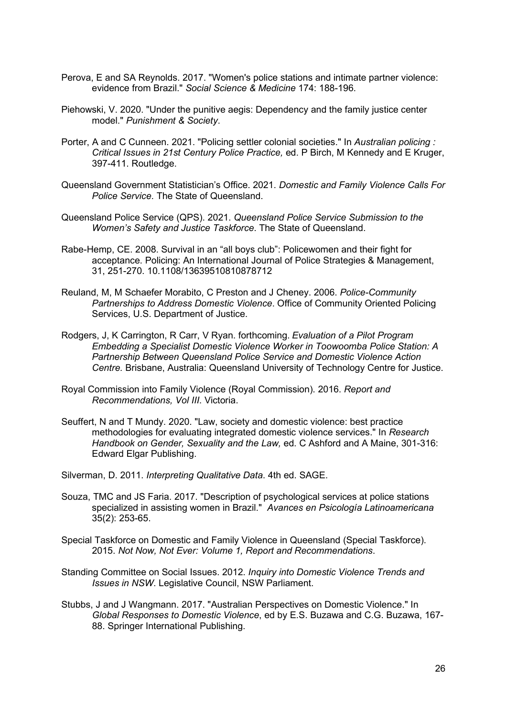- Perova, E and SA Reynolds. 2017. "Women's police stations and intimate partner violence: evidence from Brazil." *Social Science & Medicine* 174: 188-196.
- Piehowski, V. 2020. "Under the punitive aegis: Dependency and the family justice center model." *Punishment & Society*.
- Porter, A and C Cunneen. 2021. "Policing settler colonial societies." In *Australian policing : Critical Issues in 21st Century Police Practice,* ed. P Birch, M Kennedy and E Kruger, 397-411. Routledge.
- Queensland Government Statistician's Office. 2021. *Domestic and Family Violence Calls For Police Service*. The State of Queensland.
- Queensland Police Service (QPS). 2021. *Queensland Police Service Submission to the Women's Safety and Justice Taskforce*. The State of Queensland.
- Rabe-Hemp, CE. 2008. Survival in an "all boys club": Policewomen and their fight for acceptance. Policing: An International Journal of Police Strategies & Management, 31, 251-270. 10.1108/13639510810878712
- Reuland, M, M Schaefer Morabito, C Preston and J Cheney. 2006. *Police-Community Partnerships to Address Domestic Violence*. Office of Community Oriented Policing Services, U.S. Department of Justice.
- Rodgers, J, K Carrington, R Carr, V Ryan. forthcoming. *Evaluation of a Pilot Program Embedding a Specialist Domestic Violence Worker in Toowoomba Police Station: A Partnership Between Queensland Police Service and Domestic Violence Action Centre.* Brisbane, Australia: Queensland University of Technology Centre for Justice.
- Royal Commission into Family Violence (Royal Commission). 2016. *Report and Recommendations, Vol III*. Victoria.
- Seuffert, N and T Mundy. 2020. "Law, society and domestic violence: best practice methodologies for evaluating integrated domestic violence services." In *Research Handbook on Gender, Sexuality and the Law,* ed. C Ashford and A Maine, 301-316: Edward Elgar Publishing.
- Silverman, D. 2011. *Interpreting Qualitative Data*. 4th ed. SAGE.
- Souza, TMC and JS Faria. 2017. "Description of psychological services at police stations specialized in assisting women in Brazil." *Avances en Psicología Latinoamericana* 35(2): 253-65.
- Special Taskforce on Domestic and Family Violence in Queensland (Special Taskforce). 2015. *Not Now, Not Ever: Volume 1, Report and Recommendations*.
- Standing Committee on Social Issues. 2012. *Inquiry into Domestic Violence Trends and Issues in NSW*. Legislative Council, NSW Parliament.
- Stubbs, J and J Wangmann. 2017. "Australian Perspectives on Domestic Violence." In *Global Responses to Domestic Violence*, ed by E.S. Buzawa and C.G. Buzawa, 167- 88. Springer International Publishing.